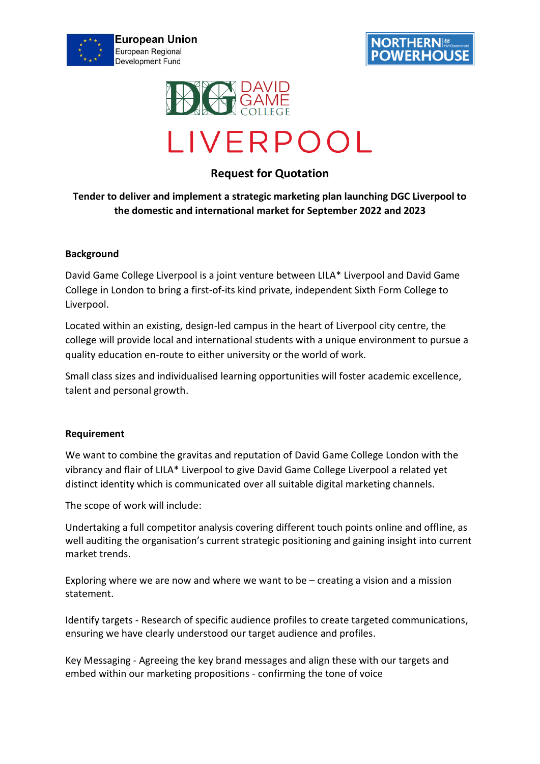





# **Request for Quotation**

# **Tender to deliver and implement a strategic marketing plan launching DGC Liverpool to the domestic and international market for September 2022 and 2023**

## **Background**

David Game College Liverpool is a joint venture between LILA\* Liverpool and David Game College in London to bring a first-of-its kind private, independent Sixth Form College to Liverpool.

Located within an existing, design-led campus in the heart of Liverpool city centre, the college will provide local and international students with a unique environment to pursue a quality education en-route to either university or the world of work.

Small class sizes and individualised learning opportunities will foster academic excellence, talent and personal growth.

## **Requirement**

We want to combine the gravitas and reputation of David Game College London with the vibrancy and flair of LILA\* Liverpool to give David Game College Liverpool a related yet distinct identity which is communicated over all suitable digital marketing channels.

The scope of work will include:

Undertaking a full competitor analysis covering different touch points online and offline, as well auditing the organisation's current strategic positioning and gaining insight into current market trends.

Exploring where we are now and where we want to be – creating a vision and a mission statement.

Identify targets - Research of specific audience profiles to create targeted communications, ensuring we have clearly understood our target audience and profiles.

Key Messaging - Agreeing the key brand messages and align these with our targets and embed within our marketing propositions - confirming the tone of voice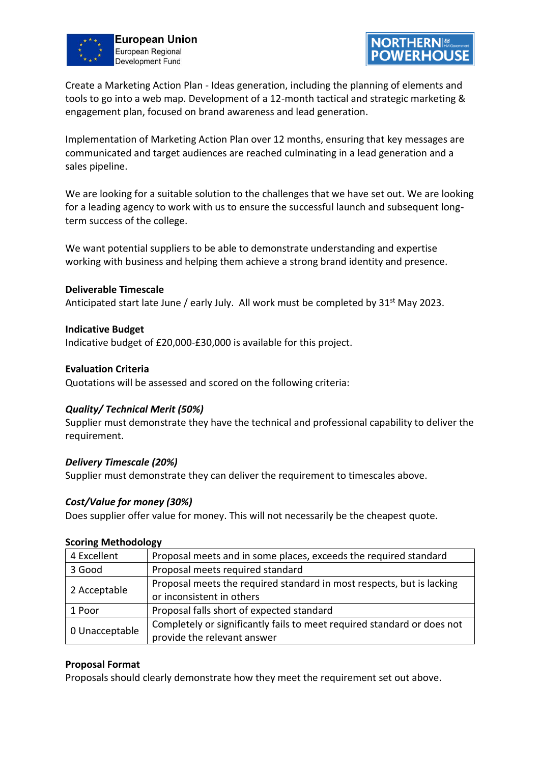



Create a Marketing Action Plan - Ideas generation, including the planning of elements and tools to go into a web map. Development of a 12-month tactical and strategic marketing & engagement plan, focused on brand awareness and lead generation.

Implementation of Marketing Action Plan over 12 months, ensuring that key messages are communicated and target audiences are reached culminating in a lead generation and a sales pipeline.

We are looking for a suitable solution to the challenges that we have set out. We are looking for a leading agency to work with us to ensure the successful launch and subsequent longterm success of the college.

We want potential suppliers to be able to demonstrate understanding and expertise working with business and helping them achieve a strong brand identity and presence.

## **Deliverable Timescale**

Anticipated start late June / early July. All work must be completed by  $31<sup>st</sup>$  May 2023.

#### **Indicative Budget**

Indicative budget of £20,000-£30,000 is available for this project.

#### **Evaluation Criteria**

Quotations will be assessed and scored on the following criteria:

## *Quality/ Technical Merit (50%)*

Supplier must demonstrate they have the technical and professional capability to deliver the requirement.

#### *Delivery Timescale (20%)*

Supplier must demonstrate they can deliver the requirement to timescales above.

## *Cost/Value for money (30%)*

Does supplier offer value for money. This will not necessarily be the cheapest quote.

#### **Scoring Methodology**

| 4 Excellent    | Proposal meets and in some places, exceeds the required standard        |
|----------------|-------------------------------------------------------------------------|
| 3 Good         | Proposal meets required standard                                        |
| 2 Acceptable   | Proposal meets the required standard in most respects, but is lacking   |
|                | or inconsistent in others                                               |
| 1 Poor         | Proposal falls short of expected standard                               |
| 0 Unacceptable | Completely or significantly fails to meet required standard or does not |
|                | provide the relevant answer                                             |

#### **Proposal Format**

Proposals should clearly demonstrate how they meet the requirement set out above.